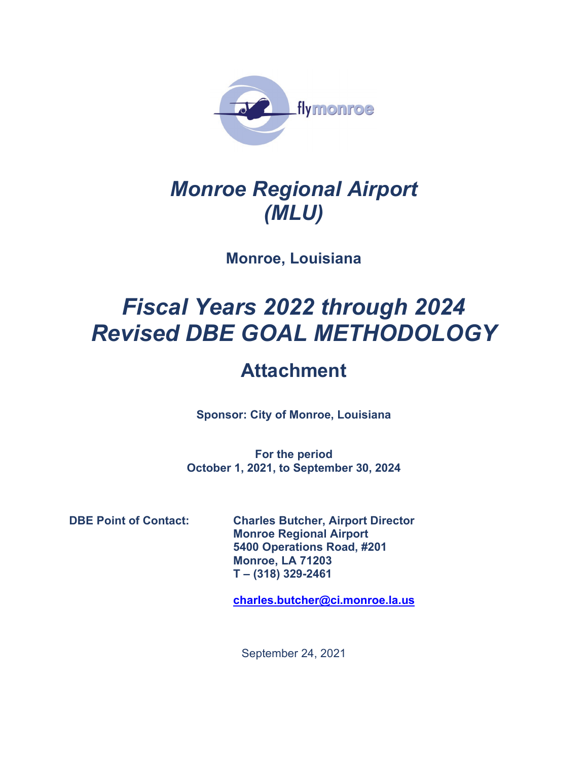

## *Monroe Regional Airport (MLU)*

**Monroe, Louisiana**

# *Fiscal Years 2022 through 2024 Revised DBE GOAL METHODOLOGY*

## **Attachment**

**Sponsor: City of Monroe, Louisiana**

**For the period October 1, 2021, to September 30, 2024**

**DBE Point of Contact: Charles Butcher, Airport Director Monroe Regional Airport 5400 Operations Road, #201 Monroe, LA 71203 T – [\(318\) 329-2461](https://us-mg6.mail.yahoo.com/yab-fe/mu/MainView?.src=neo&themeName=img-winter-snow&bn=54_10154&s=1&isFresh=1&bucketId=0&stab=1400590181598)**

**[charles.butcher@ci.monroe.la.us](mailto:charles.butcher@ci.monroe.la.us)**

September 24, 2021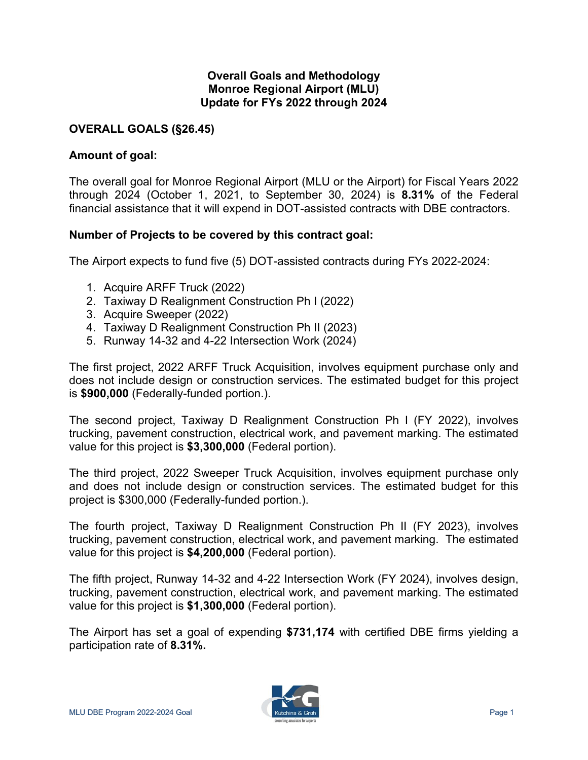#### **Overall Goals and Methodology Monroe Regional Airport (MLU) Update for FYs 2022 through 2024**

## **OVERALL GOALS (§26.45)**

## **Amount of goal:**

The overall goal for Monroe Regional Airport (MLU or the Airport) for Fiscal Years 2022 through 2024 (October 1, 2021, to September 30, 2024) is **8.31%** of the Federal financial assistance that it will expend in DOT-assisted contracts with DBE contractors.

## **Number of Projects to be covered by this contract goal:**

The Airport expects to fund five (5) DOT-assisted contracts during FYs 2022-2024:

- 1. Acquire ARFF Truck (2022)
- 2. Taxiway D Realignment Construction Ph I (2022)
- 3. Acquire Sweeper (2022)
- 4. Taxiway D Realignment Construction Ph II (2023)
- 5. Runway 14-32 and 4-22 Intersection Work (2024)

The first project, 2022 ARFF Truck Acquisition, involves equipment purchase only and does not include design or construction services. The estimated budget for this project is **\$900,000** (Federally-funded portion.).

The second project, Taxiway D Realignment Construction Ph I (FY 2022), involves trucking, pavement construction, electrical work, and pavement marking. The estimated value for this project is **\$3,300,000** (Federal portion).

The third project, 2022 Sweeper Truck Acquisition, involves equipment purchase only and does not include design or construction services. The estimated budget for this project is \$300,000 (Federally-funded portion.).

The fourth project, Taxiway D Realignment Construction Ph II (FY 2023), involves trucking, pavement construction, electrical work, and pavement marking. The estimated value for this project is **\$4,200,000** (Federal portion).

The fifth project, Runway 14-32 and 4-22 Intersection Work (FY 2024), involves design, trucking, pavement construction, electrical work, and pavement marking. The estimated value for this project is **\$1,300,000** (Federal portion).

The Airport has set a goal of expending **\$731,174** with certified DBE firms yielding a participation rate of **8.31%.**

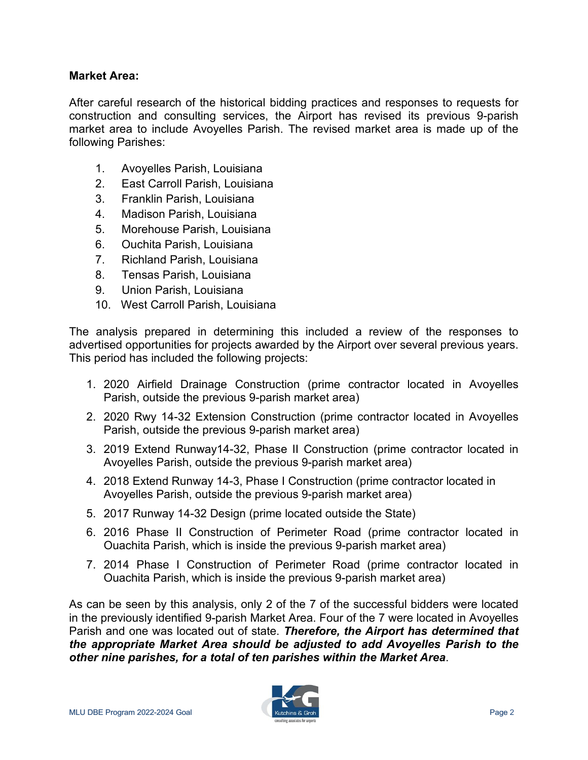## **Market Area:**

After careful research of the historical bidding practices and responses to requests for construction and consulting services, the Airport has revised its previous 9-parish market area to include Avoyelles Parish. The revised market area is made up of the following Parishes:

- 1. Avoyelles Parish, Louisiana
- 2. East Carroll Parish, Louisiana
- 3. Franklin Parish, Louisiana
- 4. Madison Parish, Louisiana
- 5. Morehouse Parish, Louisiana
- 6. Ouchita Parish, Louisiana
- 7. Richland Parish, Louisiana
- 8. Tensas Parish, Louisiana
- 9. Union Parish, Louisiana
- 10. West Carroll Parish, Louisiana

The analysis prepared in determining this included a review of the responses to advertised opportunities for projects awarded by the Airport over several previous years. This period has included the following projects:

- 1. 2020 Airfield Drainage Construction (prime contractor located in Avoyelles Parish, outside the previous 9-parish market area)
- 2. 2020 Rwy 14-32 Extension Construction (prime contractor located in Avoyelles Parish, outside the previous 9-parish market area)
- 3. 2019 Extend Runway14-32, Phase II Construction (prime contractor located in Avoyelles Parish, outside the previous 9-parish market area)
- 4. 2018 Extend Runway 14-3, Phase I Construction (prime contractor located in Avoyelles Parish, outside the previous 9-parish market area)
- 5. 2017 Runway 14-32 Design (prime located outside the State)
- 6. 2016 Phase II Construction of Perimeter Road (prime contractor located in Ouachita Parish, which is inside the previous 9-parish market area)
- 7. 2014 Phase I Construction of Perimeter Road (prime contractor located in Ouachita Parish, which is inside the previous 9-parish market area)

As can be seen by this analysis, only 2 of the 7 of the successful bidders were located in the previously identified 9-parish Market Area. Four of the 7 were located in Avoyelles Parish and one was located out of state. *Therefore, the Airport has determined that the appropriate Market Area should be adjusted to add Avoyelles Parish to the other nine parishes, for a total of ten parishes within the Market Area*.

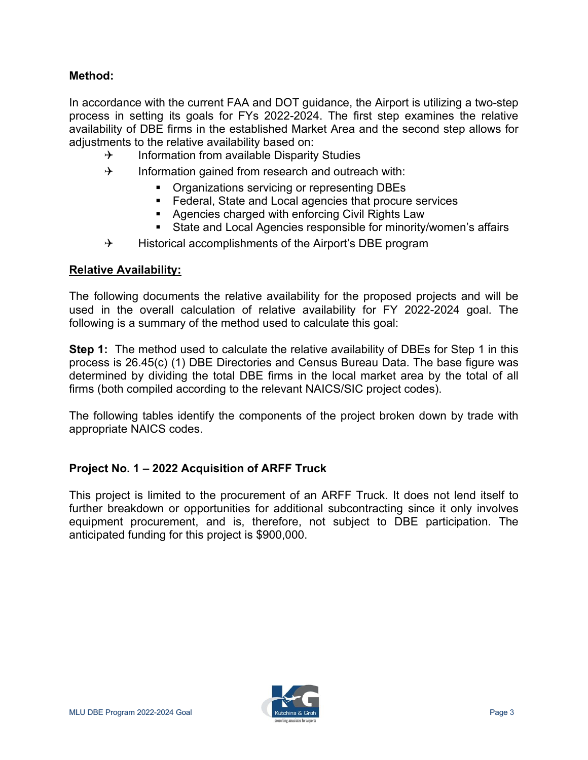## **Method:**

In accordance with the current FAA and DOT guidance, the Airport is utilizing a two-step process in setting its goals for FYs 2022-2024. The first step examines the relative availability of DBE firms in the established Market Area and the second step allows for adjustments to the relative availability based on:

- $\rightarrow$  Information from available Disparity Studies
- $\rightarrow$  Information gained from research and outreach with:
	- **Organizations servicing or representing DBEs**
	- **Federal, State and Local agencies that procure services**
	- **Agencies charged with enforcing Civil Rights Law**
	- State and Local Agencies responsible for minority/women's affairs
- $\rightarrow$  Historical accomplishments of the Airport's DBE program

#### **Relative Availability:**

The following documents the relative availability for the proposed projects and will be used in the overall calculation of relative availability for FY 2022-2024 goal. The following is a summary of the method used to calculate this goal:

**Step 1:** The method used to calculate the relative availability of DBEs for Step 1 in this process is 26.45(c) (1) DBE Directories and Census Bureau Data. The base figure was determined by dividing the total DBE firms in the local market area by the total of all firms (both compiled according to the relevant NAICS/SIC project codes).

The following tables identify the components of the project broken down by trade with appropriate NAICS codes.

## **Project No. 1 – 2022 Acquisition of ARFF Truck**

This project is limited to the procurement of an ARFF Truck. It does not lend itself to further breakdown or opportunities for additional subcontracting since it only involves equipment procurement, and is, therefore, not subject to DBE participation. The anticipated funding for this project is \$900,000.

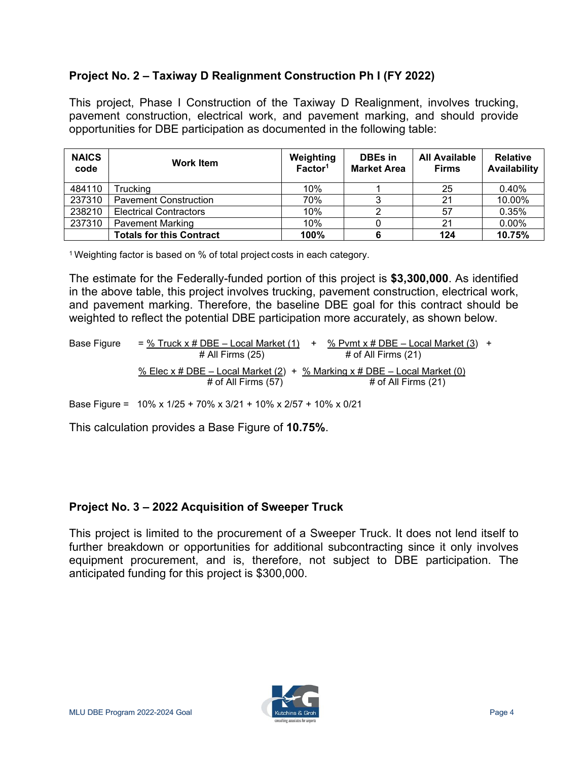## **Project No. 2 – Taxiway D Realignment Construction Ph I (FY 2022)**

This project, Phase I Construction of the Taxiway D Realignment, involves trucking, pavement construction, electrical work, and pavement marking, and should provide opportunities for DBE participation as documented in the following table:

| <b>NAICS</b><br>code | <b>Work Item</b>                | Weighting<br>Factor <sup>1</sup> | <b>DBEs in</b><br><b>Market Area</b> | <b>All Available</b><br>Firms | <b>Relative</b><br><b>Availability</b> |
|----------------------|---------------------------------|----------------------------------|--------------------------------------|-------------------------------|----------------------------------------|
| 484110               | Truckina                        | 10%                              |                                      | 25                            | 0.40%                                  |
| 237310               | <b>Pavement Construction</b>    | 70%                              |                                      | 21                            | 10.00%                                 |
| 238210               | <b>Electrical Contractors</b>   | 10%                              |                                      | 57                            | 0.35%                                  |
| 237310               | <b>Pavement Marking</b>         | 10%                              |                                      | 21                            | 0.00%                                  |
|                      | <b>Totals for this Contract</b> | 100%                             |                                      | 124                           | 10.75%                                 |

<sup>1</sup> Weighting factor is based on % of total project costs in each category.

The estimate for the Federally-funded portion of this project is **\$3,300,000**. As identified in the above table, this project involves trucking, pavement construction, electrical work, and pavement marking. Therefore, the baseline DBE goal for this contract should be weighted to reflect the potential DBE participation more accurately, as shown below.

Base Figure =  $\frac{6}{5}$  Truck x # DBE – Local Market (1) +  $\frac{6}{5}$  Pvmt x # DBE – Local Market (3) +  $\#$  All Firms (25)  $\#$  of All Firms (21) % Elec x # DBE – Local Market  $(2) + %$  Marking x # DBE – Local Market  $(0)$  $\#$  of All Firms (57)  $\#$  of All Firms (21)

Base Figure = 10% x 1/25 + 70% x 3/21 + 10% x 2/57 + 10% x 0/21

This calculation provides a Base Figure of **10.75%**.

#### **Project No. 3 – 2022 Acquisition of Sweeper Truck**

This project is limited to the procurement of a Sweeper Truck. It does not lend itself to further breakdown or opportunities for additional subcontracting since it only involves equipment procurement, and is, therefore, not subject to DBE participation. The anticipated funding for this project is \$300,000.

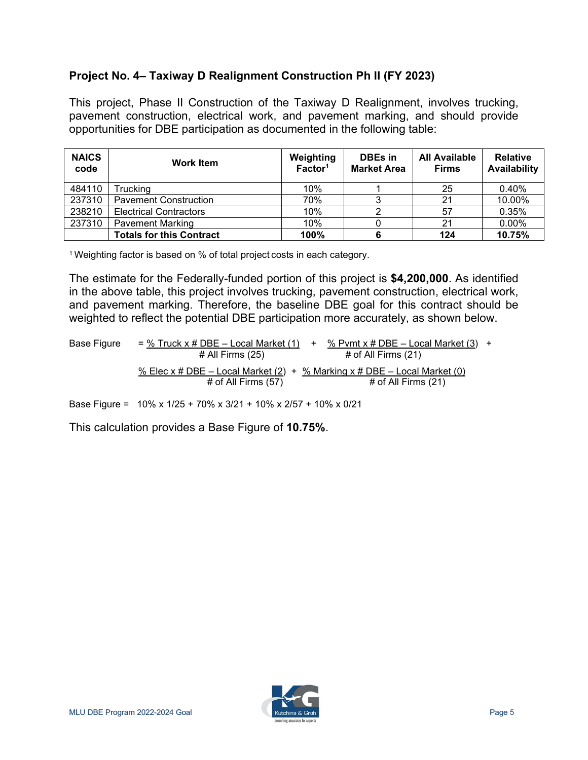## **Project No. 4– Taxiway D Realignment Construction Ph II (FY 2023)**

This project, Phase II Construction of the Taxiway D Realignment, involves trucking, pavement construction, electrical work, and pavement marking, and should provide opportunities for DBE participation as documented in the following table:

| <b>NAICS</b><br>code | <b>Work Item</b>                | Weighting<br>Factor <sup>1</sup> | <b>DBEs in</b><br><b>Market Area</b> | <b>All Available</b><br>Firms | <b>Relative</b><br><b>Availability</b> |
|----------------------|---------------------------------|----------------------------------|--------------------------------------|-------------------------------|----------------------------------------|
| 484110               | <b>Trucking</b>                 | 10%                              |                                      | 25                            | 0.40%                                  |
| 237310               | <b>Pavement Construction</b>    | 70%                              |                                      | 21                            | 10.00%                                 |
| 238210               | <b>Electrical Contractors</b>   | 10%                              |                                      | 57                            | 0.35%                                  |
| 237310               | <b>Pavement Marking</b>         | 10%                              |                                      | 21                            | 0.00%                                  |
|                      | <b>Totals for this Contract</b> | 100%                             |                                      | 124                           | 10.75%                                 |

<sup>1</sup> Weighting factor is based on % of total project costs in each category.

The estimate for the Federally-funded portion of this project is **\$4,200,000**. As identified in the above table, this project involves trucking, pavement construction, electrical work, and pavement marking. Therefore, the baseline DBE goal for this contract should be weighted to reflect the potential DBE participation more accurately, as shown below.

Base Figure =  $\frac{6}{5}$  Truck x # DBE – Local Market (1) +  $\frac{6}{5}$  Pvmt x # DBE – Local Market (3) +  $\#$  All Firms (25)  $\#$  of All Firms (21) % Elec x # DBE – Local Market  $(2) + %$  Marking x # DBE – Local Market  $(0)$  $\#$  of All Firms (57)  $\#$  of All Firms (21)

Base Figure = 10% x 1/25 + 70% x 3/21 + 10% x 2/57 + 10% x 0/21

This calculation provides a Base Figure of **10.75%**.

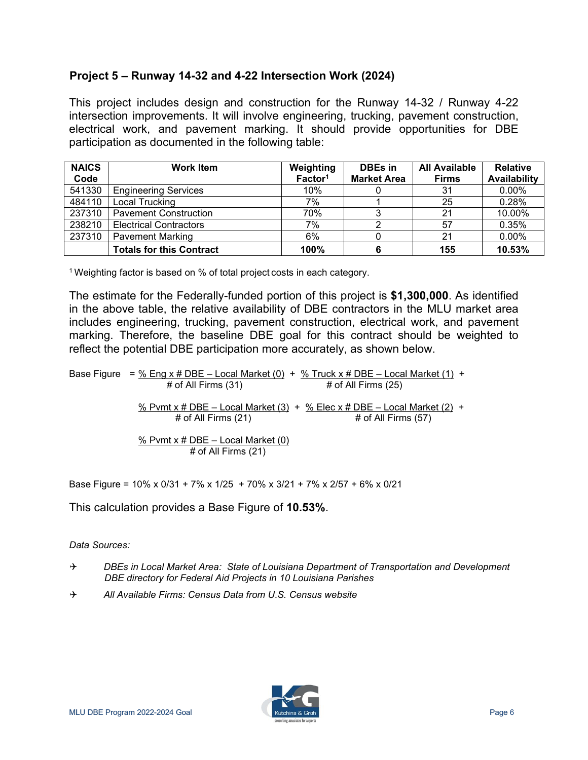## **Project 5 – Runway 14-32 and 4-22 Intersection Work (2024)**

This project includes design and construction for the Runway 14-32 / Runway 4-22 intersection improvements. It will involve engineering, trucking, pavement construction, electrical work, and pavement marking. It should provide opportunities for DBE participation as documented in the following table:

| <b>NAICS</b><br>Code | <b>Work Item</b>                | Weighting<br>Factor <sup>1</sup> | <b>DBEs in</b><br><b>Market Area</b> | <b>All Available</b><br><b>Firms</b> | <b>Relative</b><br><b>Availability</b> |
|----------------------|---------------------------------|----------------------------------|--------------------------------------|--------------------------------------|----------------------------------------|
| 541330               | <b>Engineering Services</b>     | 10%                              |                                      | 31                                   | $0.00\%$                               |
| 484110               | Local Trucking                  | 7%                               |                                      | 25                                   | 0.28%                                  |
| 237310               | <b>Pavement Construction</b>    | 70%                              | ິ                                    | 21                                   | 10.00%                                 |
| 238210               | <b>Electrical Contractors</b>   | 7%                               |                                      | 57                                   | 0.35%                                  |
| 237310               | <b>Pavement Marking</b>         | 6%                               |                                      | 21                                   | 0.00%                                  |
|                      | <b>Totals for this Contract</b> | 100%                             |                                      | 155                                  | 10.53%                                 |

<sup>1</sup> Weighting factor is based on % of total project costs in each category.

The estimate for the Federally-funded portion of this project is **\$1,300,000**. As identified in the above table, the relative availability of DBE contractors in the MLU market area includes engineering, trucking, pavement construction, electrical work, and pavement marking. Therefore, the baseline DBE goal for this contract should be weighted to reflect the potential DBE participation more accurately, as shown below.

Base Figure =  $\frac{6}{2}$  Eng x # DBE – Local Market (0) +  $\frac{6}{2}$  Truck x # DBE – Local Market (1) +  $\#$  of All Firms (31)  $\#$  of All Firms (25) % Pvmt x # DBE – Local Market (3) + % Elec x # DBE – Local Market (2) +  $\#$  of All Firms (21)  $\#$  of All Firms (57) % Pvmt  $x \# DBE - Local Market (0)$ 

# of All Firms (21)

Base Figure = 10% x 0/31 + 7% x 1/25 + 70% x 3/21 + 7% x 2/57 + 6% x 0/21

This calculation provides a Base Figure of **10.53%**.

#### *Data Sources:*

- *DBEs in Local Market Area: State of Louisiana Department of Transportation and Development DBE directory for Federal Aid Projects in 10 Louisiana Parishes*
- *All Available Firms: Census Data from U.S. Census website*

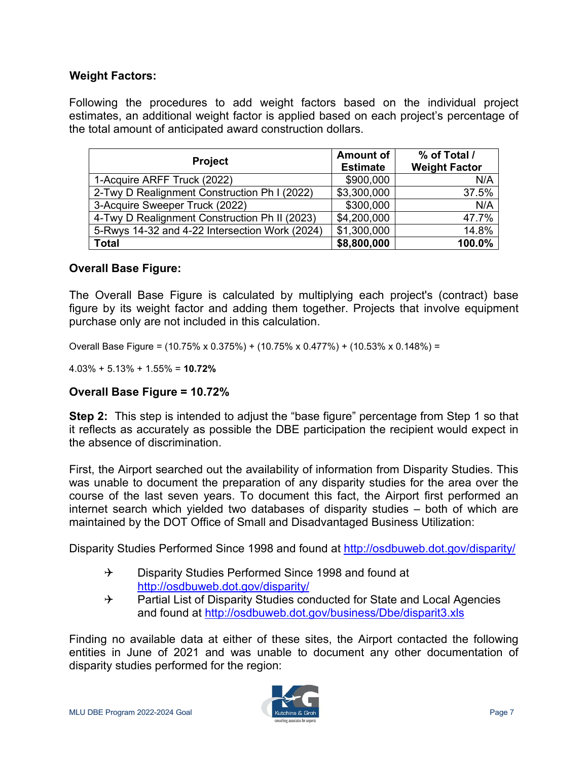## **Weight Factors:**

Following the procedures to add weight factors based on the individual project estimates, an additional weight factor is applied based on each project's percentage of the total amount of anticipated award construction dollars.

| <b>Project</b>                                 | <b>Amount of</b><br><b>Estimate</b> | % of Total /<br><b>Weight Factor</b> |
|------------------------------------------------|-------------------------------------|--------------------------------------|
| 1-Acquire ARFF Truck (2022)                    | \$900,000                           | N/A                                  |
| 2-Twy D Realignment Construction Ph I (2022)   | \$3,300,000                         | 37.5%                                |
| 3-Acquire Sweeper Truck (2022)                 | \$300,000                           | N/A                                  |
| 4-Twy D Realignment Construction Ph II (2023)  | \$4,200,000                         | 47.7%                                |
| 5-Rwys 14-32 and 4-22 Intersection Work (2024) | \$1,300,000                         | 14.8%                                |
| <b>Total</b>                                   | \$8,800,000                         | 100.0%                               |

## **Overall Base Figure:**

The Overall Base Figure is calculated by multiplying each project's (contract) base figure by its weight factor and adding them together. Projects that involve equipment purchase only are not included in this calculation.

Overall Base Figure =  $(10.75\% \times 0.375\%) + (10.75\% \times 0.477\%) + (10.53\% \times 0.148\%) =$ 

4.03% + 5.13% + 1.55% = **10.72%**

## **Overall Base Figure = 10.72%**

**Step 2:** This step is intended to adjust the "base figure" percentage from Step 1 so that it reflects as accurately as possible the DBE participation the recipient would expect in the absence of discrimination.

First, the Airport searched out the availability of information from Disparity Studies. This was unable to document the preparation of any disparity studies for the area over the course of the last seven years. To document this fact, the Airport first performed an internet search which yielded two databases of disparity studies – both of which are maintained by the DOT Office of Small and Disadvantaged Business Utilization:

Disparity Studies Performed Since 1998 and found at<http://osdbuweb.dot.gov/disparity/>

- $\rightarrow$  Disparity Studies Performed Since 1998 and found at <http://osdbuweb.dot.gov/disparity/>
- $\rightarrow$  Partial List of Disparity Studies conducted for State and Local Agencies and found at<http://osdbuweb.dot.gov/business/Dbe/disparit3.xls>

Finding no available data at either of these sites, the Airport contacted the following entities in June of 2021 and was unable to document any other documentation of disparity studies performed for the region:

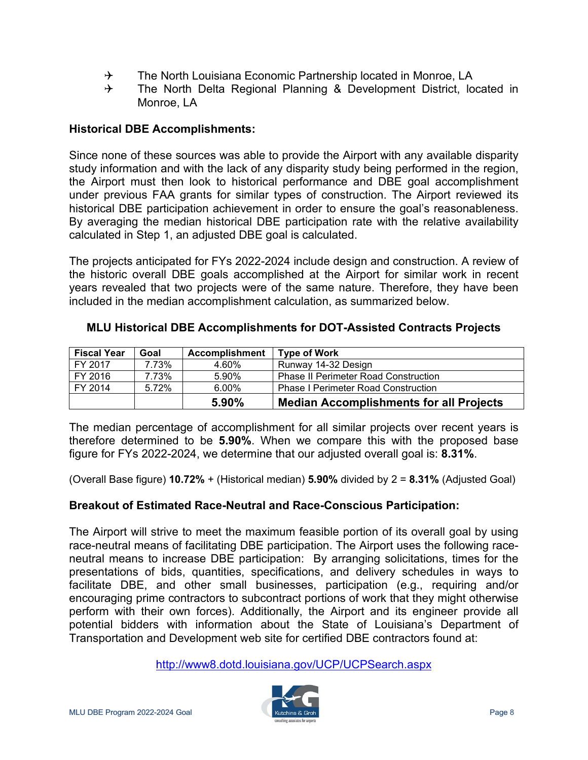- $\rightarrow$  The North Louisiana Economic Partnership located in Monroe, LA
- $\rightarrow$  The North Delta Regional Planning & Development District, located in Monroe, LA

## **Historical DBE Accomplishments:**

Since none of these sources was able to provide the Airport with any available disparity study information and with the lack of any disparity study being performed in the region, the Airport must then look to historical performance and DBE goal accomplishment under previous FAA grants for similar types of construction. The Airport reviewed its historical DBE participation achievement in order to ensure the goal's reasonableness. By averaging the median historical DBE participation rate with the relative availability calculated in Step 1, an adjusted DBE goal is calculated.

The projects anticipated for FYs 2022-2024 include design and construction. A review of the historic overall DBE goals accomplished at the Airport for similar work in recent years revealed that two projects were of the same nature. Therefore, they have been included in the median accomplishment calculation, as summarized below.

## **MLU Historical DBE Accomplishments for DOT-Assisted Contracts Projects**

| <b>Fiscal Year</b> | Goal  | <b>Accomplishment</b> | <b>Type of Work</b>                            |
|--------------------|-------|-----------------------|------------------------------------------------|
| FY 2017            | 7.73% | 4.60%                 | Runway 14-32 Design                            |
| FY 2016            | 7.73% | 5.90%                 | <b>Phase II Perimeter Road Construction</b>    |
| FY 2014            | 5.72% | 6.00%                 | <b>Phase I Perimeter Road Construction</b>     |
|                    |       | 5.90%                 | <b>Median Accomplishments for all Projects</b> |

The median percentage of accomplishment for all similar projects over recent years is therefore determined to be **5.90%**. When we compare this with the proposed base figure for FYs 2022-2024, we determine that our adjusted overall goal is: **8.31%**.

(Overall Base figure) **10.72%** + (Historical median) **5.90%** divided by 2 = **8.31%** (Adjusted Goal)

## **Breakout of Estimated Race-Neutral and Race-Conscious Participation:**

The Airport will strive to meet the maximum feasible portion of its overall goal by using race-neutral means of facilitating DBE participation. The Airport uses the following raceneutral means to increase DBE participation: By arranging solicitations, times for the presentations of bids, quantities, specifications, and delivery schedules in ways to facilitate DBE, and other small businesses, participation (e.g., requiring and/or encouraging prime contractors to subcontract portions of work that they might otherwise perform with their own forces). Additionally, the Airport and its engineer provide all potential bidders with information about the State of Louisiana's Department of Transportation and Development web site for certified DBE contractors found at:

<http://www8.dotd.louisiana.gov/UCP/UCPSearch.aspx>

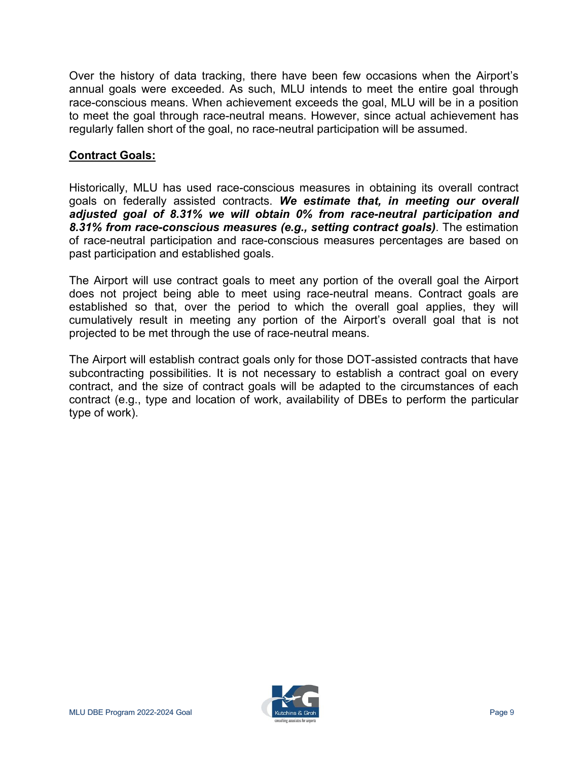Over the history of data tracking, there have been few occasions when the Airport's annual goals were exceeded. As such, MLU intends to meet the entire goal through race-conscious means. When achievement exceeds the goal, MLU will be in a position to meet the goal through race-neutral means. However, since actual achievement has regularly fallen short of the goal, no race-neutral participation will be assumed.

## **Contract Goals:**

Historically, MLU has used race-conscious measures in obtaining its overall contract goals on federally assisted contracts. *We estimate that, in meeting our overall adjusted goal of 8.31% we will obtain 0% from race-neutral participation and 8.31% from race-conscious measures (e.g., setting contract goals)*. The estimation of race-neutral participation and race-conscious measures percentages are based on past participation and established goals.

The Airport will use contract goals to meet any portion of the overall goal the Airport does not project being able to meet using race-neutral means. Contract goals are established so that, over the period to which the overall goal applies, they will cumulatively result in meeting any portion of the Airport's overall goal that is not projected to be met through the use of race-neutral means.

The Airport will establish contract goals only for those DOT-assisted contracts that have subcontracting possibilities. It is not necessary to establish a contract goal on every contract, and the size of contract goals will be adapted to the circumstances of each contract (e.g., type and location of work, availability of DBEs to perform the particular type of work).

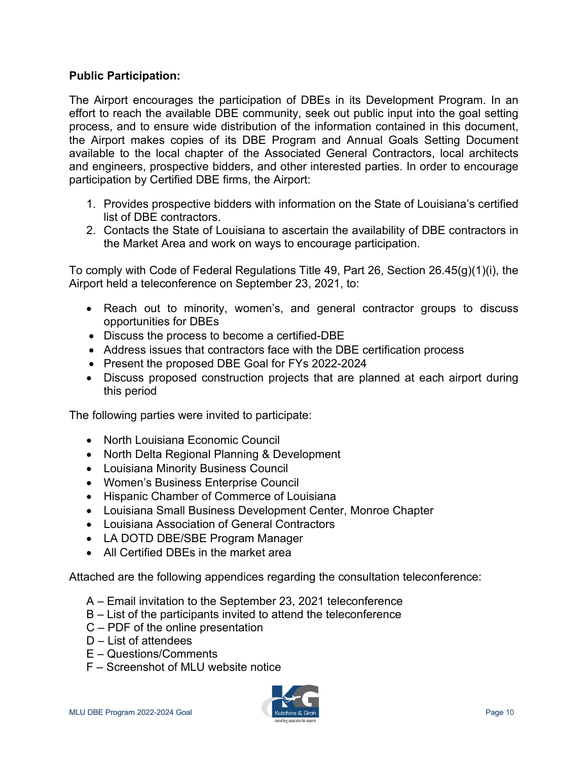## **Public Participation:**

The Airport encourages the participation of DBEs in its Development Program. In an effort to reach the available DBE community, seek out public input into the goal setting process, and to ensure wide distribution of the information contained in this document, the Airport makes copies of its DBE Program and Annual Goals Setting Document available to the local chapter of the Associated General Contractors, local architects and engineers, prospective bidders, and other interested parties. In order to encourage participation by Certified DBE firms, the Airport:

- 1. Provides prospective bidders with information on the State of Louisiana's certified list of DBE contractors.
- 2. Contacts the State of Louisiana to ascertain the availability of DBE contractors in the Market Area and work on ways to encourage participation.

To comply with Code of Federal Regulations Title 49, Part 26, Section 26.45(g)(1)(i), the Airport held a teleconference on September 23, 2021, to:

- Reach out to minority, women's, and general contractor groups to discuss opportunities for DBEs
- Discuss the process to become a certified-DBE
- Address issues that contractors face with the DBE certification process
- Present the proposed DBE Goal for FYs 2022-2024
- Discuss proposed construction projects that are planned at each airport during this period

The following parties were invited to participate:

- North Louisiana Economic Council
- North Delta Regional Planning & Development
- Louisiana Minority Business Council
- Women's Business Enterprise Council
- Hispanic Chamber of Commerce of Louisiana
- Louisiana Small Business Development Center, Monroe Chapter
- Louisiana Association of General Contractors
- LA DOTD DBE/SBE Program Manager
- All Certified DBEs in the market area

Attached are the following appendices regarding the consultation teleconference:

- A Email invitation to the September 23, 2021 teleconference
- B List of the participants invited to attend the teleconference
- C PDF of the online presentation
- D List of attendees
- E Questions/Comments
- F Screenshot of MLU website notice

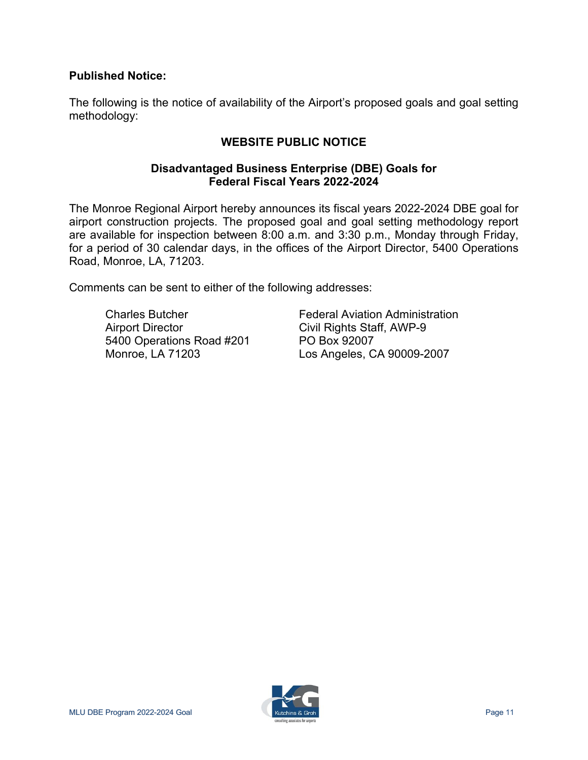## **Published Notice:**

The following is the notice of availability of the Airport's proposed goals and goal setting methodology:

## **WEBSITE PUBLIC NOTICE**

## **Disadvantaged Business Enterprise (DBE) Goals for Federal Fiscal Years 2022-2024**

The Monroe Regional Airport hereby announces its fiscal years 2022-2024 DBE goal for airport construction projects. The proposed goal and goal setting methodology report are available for inspection between 8:00 a.m. and 3:30 p.m., Monday through Friday, for a period of 30 calendar days, in the offices of the Airport Director, 5400 Operations Road, Monroe, LA, 71203.

Comments can be sent to either of the following addresses:

Airport Director **Civil Rights Staff, AWP-9** 5400 Operations Road #201 PO Box 92007

Charles Butcher Federal Aviation Administration Monroe, LA 71203 Los Angeles, CA 90009-2007